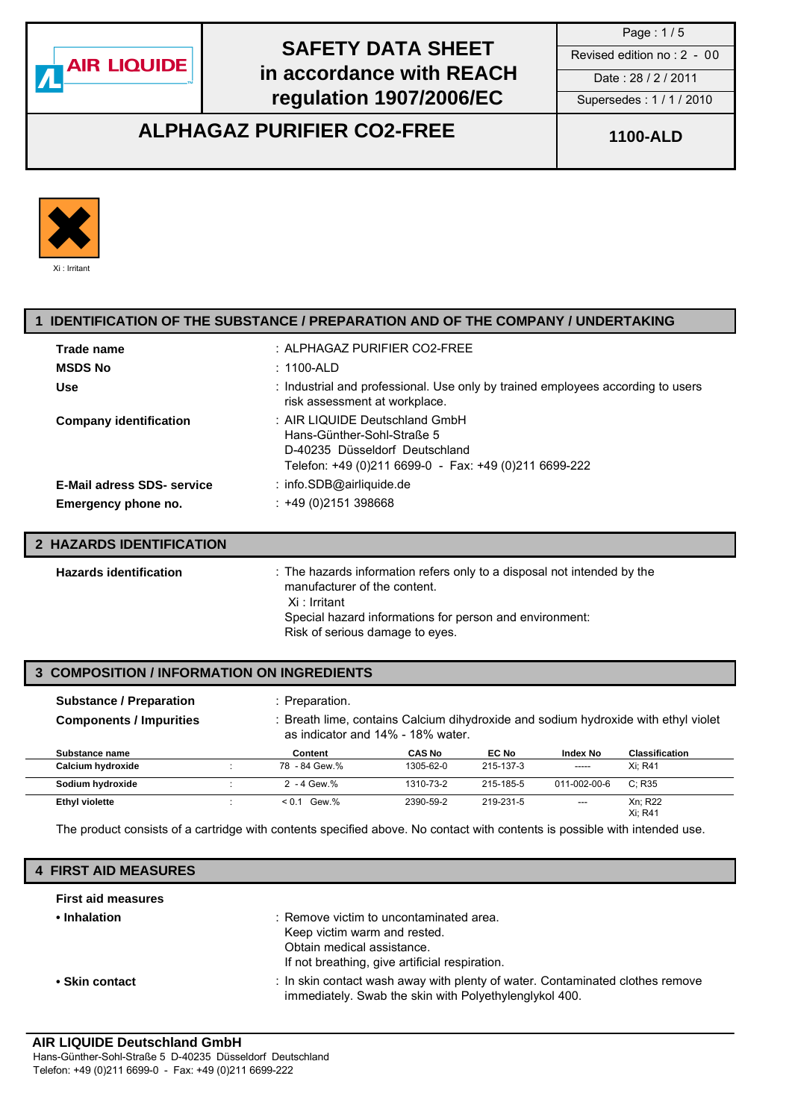

Page : 1 / 5

### **ALPHAGAZ PURIFIER CO2-FREE 1100-ALD**



### **1 IDENTIFICATION OF THE SUBSTANCE / PREPARATION AND OF THE COMPANY / UNDERTAKING Trade name** : ALPHAGAZ PURIFIER CO2-FREE

| <b>MSDS No</b>                    | :1100-ALD                                                                                                                                               |
|-----------------------------------|---------------------------------------------------------------------------------------------------------------------------------------------------------|
| Use                               | : Industrial and professional. Use only by trained employees according to users<br>risk assessment at workplace.                                        |
| <b>Company identification</b>     | : AIR LIQUIDE Deutschland GmbH<br>Hans-Günther-Sohl-Straße 5<br>D-40235 Düsseldorf Deutschland<br>Telefon: +49 (0)211 6699-0 - Fax: +49 (0)211 6699-222 |
| <b>E-Mail adress SDS- service</b> | : info.SDB@airliquide.de                                                                                                                                |
| Emergency phone no.               | $: +49(0)2151398668$                                                                                                                                    |
|                                   |                                                                                                                                                         |

#### **2 HAZARDS IDENTIFICATION Hazards identification** : The hazards information refers only to a disposal not intended by the manufacturer of the content. Xi : Irritant Special hazard informations for person and environment: Risk of serious damage to eyes.

#### **3 COMPOSITION / INFORMATION ON INGREDIENTS**

| <b>Substance / Preparation</b><br><b>Components / Impurities</b> | : Preparation.<br>: Breath lime, contains Calcium dihydroxide and sodium hydroxide with ethyl violet<br>as indicator and 14% - 18% water. |                  |               |           |                 |                       |
|------------------------------------------------------------------|-------------------------------------------------------------------------------------------------------------------------------------------|------------------|---------------|-----------|-----------------|-----------------------|
| Substance name                                                   |                                                                                                                                           | Content          | <b>CAS No</b> | EC No     | <b>Index No</b> | <b>Classification</b> |
| Calcium hydroxide                                                |                                                                                                                                           | 78 - 84 Gew.%    | 1305-62-0     | 215-137-3 | -----           | Xi: R41               |
| Sodium hydroxide                                                 |                                                                                                                                           | $2 - 4$ Gew. $%$ | 1310-73-2     | 215-185-5 | 011-002-00-6    | C: R35                |
| <b>Ethyl violette</b>                                            |                                                                                                                                           | $< 0.1$ Gew.%    | 2390-59-2     | 219-231-5 | $---$           | Xn: R22<br>Xi: R41    |

The product consists of a cartridge with contents specified above. No contact with contents is possible with intended use.

### **4 FIRST AID MEASURES**

| <b>First aid measures</b> |                                                                                                                                                         |
|---------------------------|---------------------------------------------------------------------------------------------------------------------------------------------------------|
| • Inhalation              | : Remove victim to uncontaminated area.<br>Keep victim warm and rested.<br>Obtain medical assistance.<br>If not breathing, give artificial respiration. |
| • Skin contact            | : In skin contact wash away with plenty of water. Contaminated clothes remove<br>immediately. Swab the skin with Polyethylenglykol 400.                 |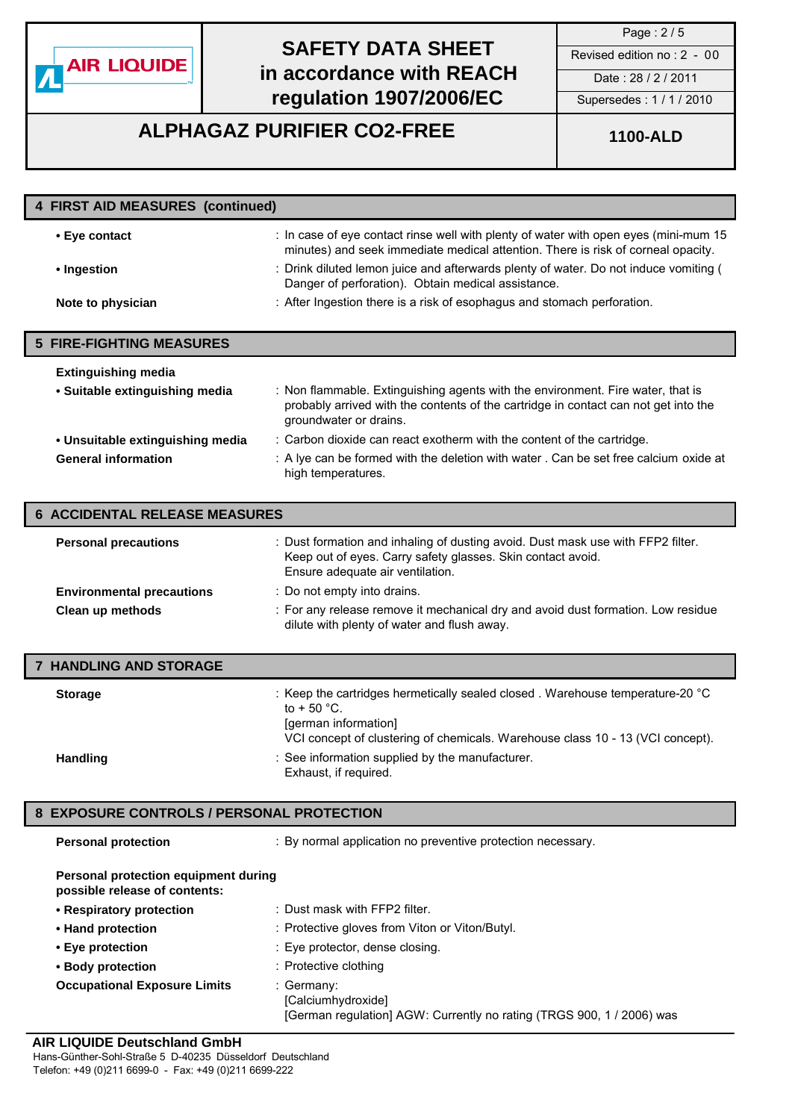

Page : 2 / 5

**ALPHAGAZ PURIFIER CO2-FREE 1100-ALD**

| 4 FIRST AID MEASURES (continued)     |                                                                                                                                                                                                  |  |
|--------------------------------------|--------------------------------------------------------------------------------------------------------------------------------------------------------------------------------------------------|--|
| • Eye contact                        | : In case of eye contact rinse well with plenty of water with open eyes (mini-mum 15<br>minutes) and seek immediate medical attention. There is risk of corneal opacity.                         |  |
| • Ingestion                          | : Drink diluted lemon juice and afterwards plenty of water. Do not induce vomiting (<br>Danger of perforation). Obtain medical assistance.                                                       |  |
| Note to physician                    | : After Ingestion there is a risk of esophagus and stomach perforation.                                                                                                                          |  |
|                                      |                                                                                                                                                                                                  |  |
| <b>5 FIRE-FIGHTING MEASURES</b>      |                                                                                                                                                                                                  |  |
| <b>Extinguishing media</b>           |                                                                                                                                                                                                  |  |
| • Suitable extinguishing media       | : Non flammable. Extinguishing agents with the environment. Fire water, that is<br>probably arrived with the contents of the cartridge in contact can not get into the<br>groundwater or drains. |  |
| • Unsuitable extinguishing media     | : Carbon dioxide can react exotherm with the content of the cartridge.                                                                                                                           |  |
| <b>General information</b>           | : A lye can be formed with the deletion with water . Can be set free calcium oxide at<br>high temperatures.                                                                                      |  |
| <b>6 ACCIDENTAL RELEASE MEASURES</b> |                                                                                                                                                                                                  |  |
| <b>Personal precautions</b>          | : Dust formation and inhaling of dusting avoid. Dust mask use with FFP2 filter.<br>Keep out of eyes. Carry safety glasses. Skin contact avoid.<br>Ensure adequate air ventilation.               |  |
| <b>Environmental precautions</b>     | : Do not empty into drains.                                                                                                                                                                      |  |

| Clean up methods | : For any release remove it mechanical dry and avoid dust formation. Low residue |
|------------------|----------------------------------------------------------------------------------|
|                  | dilute with plenty of water and flush away.                                      |

| <b>7 HANDLING AND STORAGE</b> |                                                                                                                                                                                                                |
|-------------------------------|----------------------------------------------------------------------------------------------------------------------------------------------------------------------------------------------------------------|
| <b>Storage</b>                | : Keep the cartridges hermetically sealed closed. Warehouse temperature-20 °C<br>to $+50^{\circ}$ C.<br>[german information]<br>VCI concept of clustering of chemicals. Warehouse class 10 - 13 (VCI concept). |
| <b>Handling</b>               | : See information supplied by the manufacturer.<br>Exhaust, if required.                                                                                                                                       |

#### **8 EXPOSURE CONTROLS / PERSONAL PROTECTION**

**Personal protection** : By normal application no preventive protection necessary.

| Personal protection equipment during |
|--------------------------------------|
| possible release of contents:        |

| • Respiratory protection            | : Dust mask with FFP2 filter.                                                                             |
|-------------------------------------|-----------------------------------------------------------------------------------------------------------|
| • Hand protection                   | : Protective gloves from Viton or Viton/Butyl.                                                            |
| • Eye protection                    | : Eye protector, dense closing.                                                                           |
| • Body protection                   | : Protective clothing                                                                                     |
| <b>Occupational Exposure Limits</b> | : Germany:<br>[Calciumhydroxide]<br>[German regulation] AGW: Currently no rating (TRGS 900, 1 / 2006) was |

#### **AIR LIQUIDE Deutschland GmbH**

Hans-Günther-Sohl-Straße 5 D-40235 Düsseldorf Deutschland Telefon: +49 (0)211 6699-0 - Fax: +49 (0)211 6699-222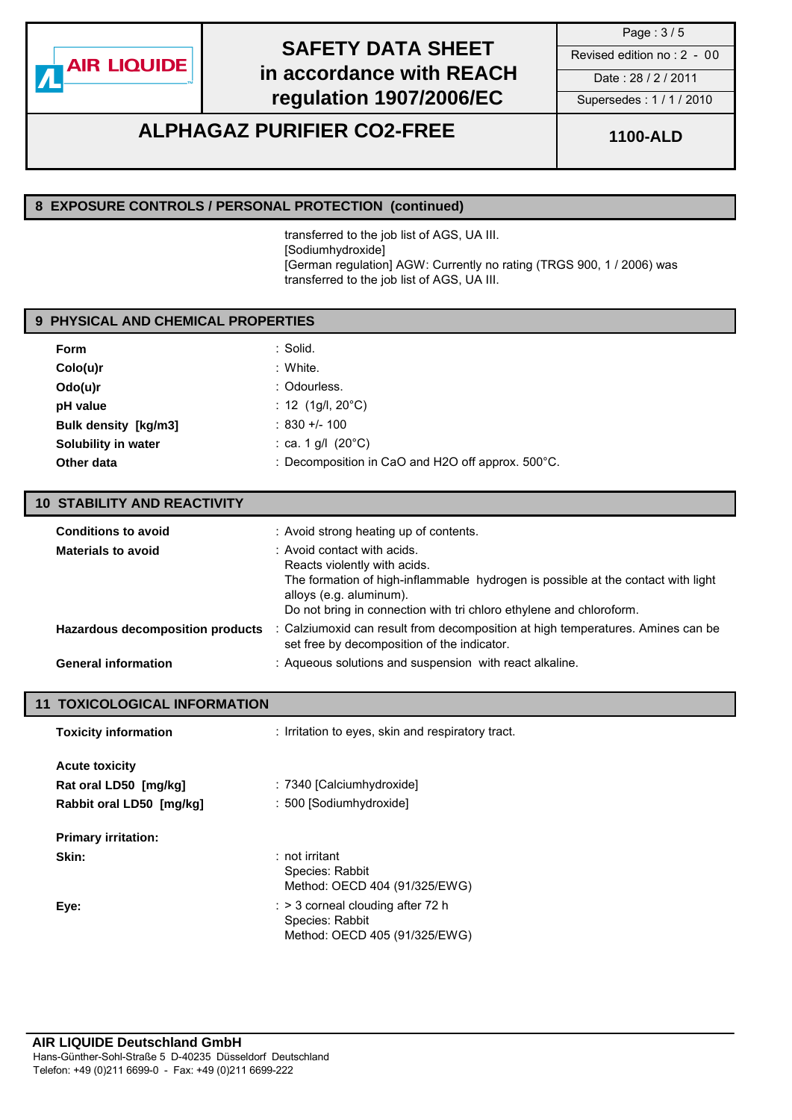

Page : 3 / 5

### **ALPHAGAZ PURIFIER CO2-FREE 1100-ALD**

#### **8 EXPOSURE CONTROLS / PERSONAL PROTECTION (continued)**

transferred to the job list of AGS, UA III. [Sodiumhydroxide] [German regulation] AGW: Currently no rating (TRGS 900, 1 / 2006) was transferred to the job list of AGS, UA III.

#### **9 PHYSICAL AND CHEMICAL PROPERTIES**

| <b>Form</b>                 | : Solid.                                                    |
|-----------------------------|-------------------------------------------------------------|
| Colo(u)r                    | : White.                                                    |
| $Odo(u)$ r                  | : Odourless.                                                |
| pH value                    | : 12 $(1g/l, 20^{\circ}C)$                                  |
| <b>Bulk density [kg/m3]</b> | $: 830 +/- 100$                                             |
| Solubility in water         | : ca. 1 g/l $(20^{\circ}C)$                                 |
| Other data                  | : Decomposition in CaO and H2O off approx. $500^{\circ}$ C. |

#### **10 STABILITY AND REACTIVITY**

| <b>Materials to avoid</b>                                      | : Avoid contact with acids.<br>Reacts violently with acids.<br>The formation of high-inflammable hydrogen is possible at the contact with light<br>alloys (e.g. aluminum).<br>Do not bring in connection with tri chloro ethylene and chloroform. |
|----------------------------------------------------------------|---------------------------------------------------------------------------------------------------------------------------------------------------------------------------------------------------------------------------------------------------|
| Hazardous decomposition products<br><b>General information</b> | : Calziumoxid can result from decomposition at high temperatures. Amines can be<br>set free by decomposition of the indicator.<br>: Aqueous solutions and suspension with react alkaline.                                                         |

#### **11 TOXICOLOGICAL INFORMATION**

| <b>Toxicity information</b> | : Irritation to eyes, skin and respiratory tract.                                                |
|-----------------------------|--------------------------------------------------------------------------------------------------|
| <b>Acute toxicity</b>       |                                                                                                  |
| Rat oral LD50 [mg/kg]       | : 7340 [Calciumhydroxide]                                                                        |
| Rabbit oral LD50 [mg/kg]    | : 500 [Sodiumhydroxide]                                                                          |
| <b>Primary irritation:</b>  |                                                                                                  |
| Skin:                       | $:$ not irritant<br>Species: Rabbit<br>Method: OECD 404 (91/325/EWG)                             |
| Eye:                        | $\therefore$ > 3 corneal clouding after 72 h<br>Species: Rabbit<br>Method: OECD 405 (91/325/EWG) |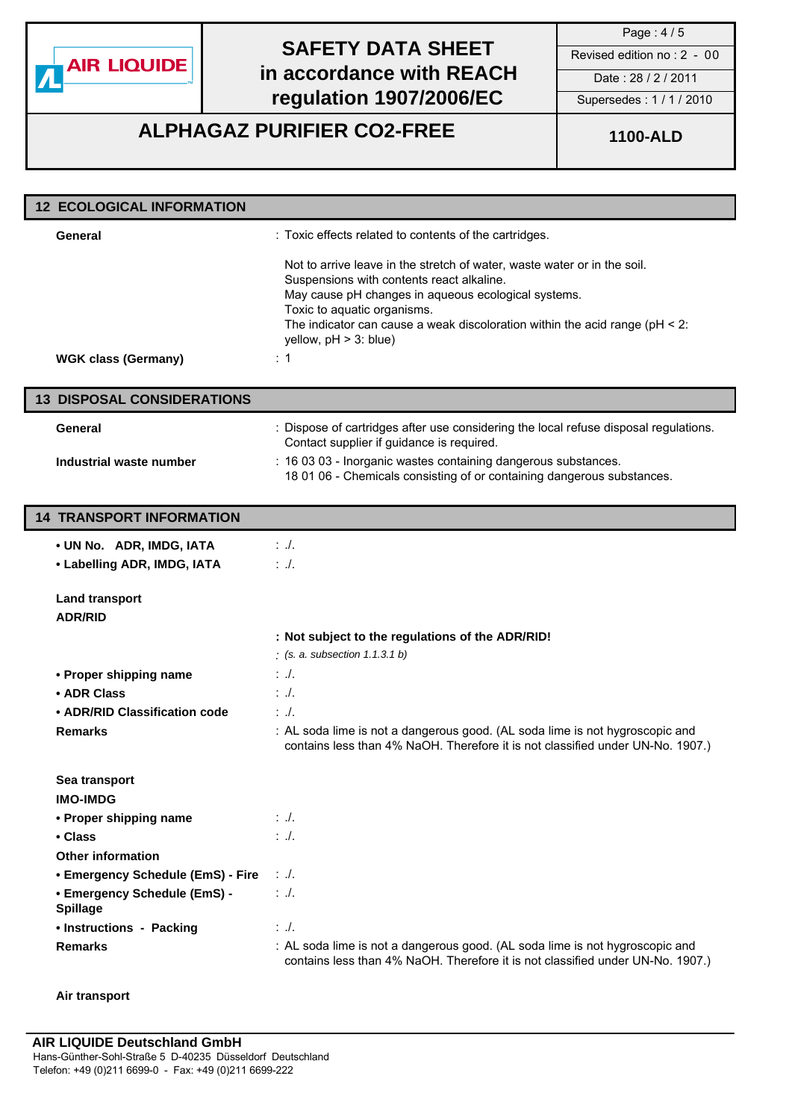

**ALPHAGAZ PURIFIER CO2-FREE 1100-ALD**

| <b>12 ECOLOGICAL INFORMATION</b>                                                     |                                                                                                                                                                                                                                                                                                                            |
|--------------------------------------------------------------------------------------|----------------------------------------------------------------------------------------------------------------------------------------------------------------------------------------------------------------------------------------------------------------------------------------------------------------------------|
| General                                                                              | : Toxic effects related to contents of the cartridges.                                                                                                                                                                                                                                                                     |
|                                                                                      | Not to arrive leave in the stretch of water, waste water or in the soil.<br>Suspensions with contents react alkaline.<br>May cause pH changes in aqueous ecological systems.<br>Toxic to aquatic organisms.<br>The indicator can cause a weak discoloration within the acid range ( $pH < 2$ :<br>yellow, $pH > 3$ : blue) |
| <b>WGK class (Germany)</b>                                                           | $\therefore$ 1                                                                                                                                                                                                                                                                                                             |
| <b>13 DISPOSAL CONSIDERATIONS</b>                                                    |                                                                                                                                                                                                                                                                                                                            |
| General                                                                              | : Dispose of cartridges after use considering the local refuse disposal regulations.<br>Contact supplier if guidance is required.                                                                                                                                                                                          |
| Industrial waste number                                                              | : 16 03 03 - Inorganic wastes containing dangerous substances.<br>18 01 06 - Chemicals consisting of or containing dangerous substances.                                                                                                                                                                                   |
| <b>14 TRANSPORT INFORMATION</b>                                                      |                                                                                                                                                                                                                                                                                                                            |
| • UN No. ADR, IMDG, IATA<br>• Labelling ADR, IMDG, IATA                              | $\therefore$ .<br>$\therefore$ .                                                                                                                                                                                                                                                                                           |
| <b>Land transport</b><br><b>ADR/RID</b>                                              |                                                                                                                                                                                                                                                                                                                            |
|                                                                                      | : Not subject to the regulations of the ADR/RID!<br>$($ s. a. subsection 1.1.3.1 b)                                                                                                                                                                                                                                        |
| • Proper shipping name                                                               | $:.$ ./.                                                                                                                                                                                                                                                                                                                   |
| • ADR Class                                                                          | $: \mathcal{L}$                                                                                                                                                                                                                                                                                                            |
| • ADR/RID Classification code                                                        | $: \mathcal{L}$                                                                                                                                                                                                                                                                                                            |
| <b>Remarks</b>                                                                       | : AL soda lime is not a dangerous good. (AL soda lime is not hygroscopic and<br>contains less than 4% NaOH. Therefore it is not classified under UN-No. 1907.)                                                                                                                                                             |
| Sea transport                                                                        |                                                                                                                                                                                                                                                                                                                            |
| <b>IMO-IMDG</b>                                                                      |                                                                                                                                                                                                                                                                                                                            |
| • Proper shipping name                                                               | $: \mathcal{A}.$                                                                                                                                                                                                                                                                                                           |
| • Class                                                                              | $\therefore$ .                                                                                                                                                                                                                                                                                                             |
| <b>Other information</b>                                                             |                                                                                                                                                                                                                                                                                                                            |
| • Emergency Schedule (EmS) - Fire<br>• Emergency Schedule (EmS) -<br><b>Spillage</b> | $\therefore$ .<br>$\therefore$ .                                                                                                                                                                                                                                                                                           |
| • Instructions - Packing                                                             | $\therefore$ .                                                                                                                                                                                                                                                                                                             |
| <b>Remarks</b>                                                                       | : AL soda lime is not a dangerous good. (AL soda lime is not hygroscopic and<br>contains less than 4% NaOH. Therefore it is not classified under UN-No. 1907.)                                                                                                                                                             |

#### **Air transport**